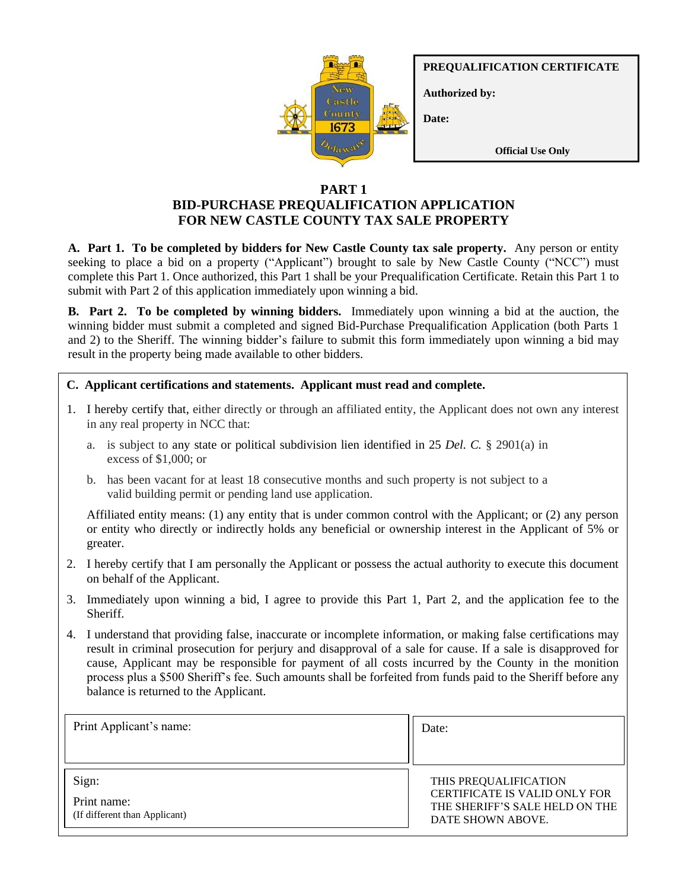

**PREQUALIFICATION CERTIFICATE**

**Authorized by:**

**Date:**

**Official Use Only**

# **PART 1 BID-PURCHASE PREQUALIFICATION APPLICATION FOR NEW CASTLE COUNTY TAX SALE PROPERTY**

**A. Part 1. To be completed by bidders for New Castle County tax sale property.** Any person or entity seeking to place a bid on a property ("Applicant") brought to sale by New Castle County ("NCC") must complete this Part 1. Once authorized, this Part 1 shall be your Prequalification Certificate. Retain this Part 1 to submit with Part 2 of this application immediately upon winning a bid.

**B. Part 2. To be completed by winning bidders.** Immediately upon winning a bid at the auction, the winning bidder must submit a completed and signed Bid-Purchase Prequalification Application (both Parts 1 and 2) to the Sheriff. The winning bidder's failure to submit this form immediately upon winning a bid may result in the property being made available to other bidders.

**C. Applicant certifications and statements. Applicant must read and complete.** 

- 1. I hereby certify that, either directly or through an affiliated entity, the Applicant does not own any interest in any real property in NCC that:
	- a. is subject to any state or political subdivision lien identified in 25 *Del. C.* § 2901(a) in excess of \$1,000; or
	- valid building permit or pending land use application. b. has been vacant for at least 18 consecutive months and such property is not subject to a

Affiliated entity means: (1) any entity that is under common control with the Applicant; or (2) any person **A. Applicants with Winning Bids.** Any person or entity winning a bid of any property brought to or entity who directly or indirectly holds any beneficial or ownership interest in the Applicant of 5% or greater.

- 2. I hereby certify that I am personally the Applicant or possess the actual authority to execute this document on behalf of the Applicant.
- 3. Immediately upon winning a bid, I agree to provide this Part 1, Part 2, and the application fee to the Sheriff.
- 4. I understand that providing false, inaccurate or incomplete information, or making false certifications may result in criminal prosecution for perjury and disapproval of a sale for cause. If a sale is disapproved for process plus a \$500 Sheriff's fee. Such amounts shall be forfeited from funds paid to the Sheriff before any cause, Applicant may be responsible for payment of all costs incurred by the County in the monition balance is returned to the Applicant.

| Print Applicant's name:                      | Date:                                                                                       |
|----------------------------------------------|---------------------------------------------------------------------------------------------|
|                                              |                                                                                             |
| Sign:                                        | THIS PREQUALIFICATION                                                                       |
| Print name:<br>(If different than Applicant) | <b>CERTIFICATE IS VALID ONLY FOR</b><br>THE SHERIFF'S SALE HELD ON THE<br>DATE SHOWN ABOVE. |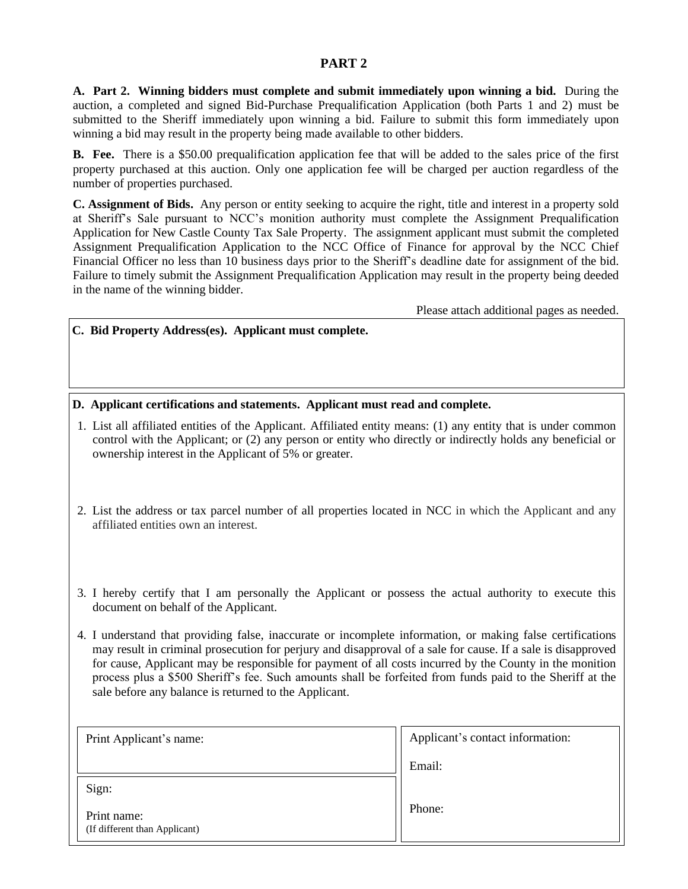#### **PART 2**

**A. Part 2. Winning bidders must complete and submit immediately upon winning a bid.** During the auction, a completed and signed Bid-Purchase Prequalification Application (both Parts 1 and 2) must be submitted to the Sheriff immediately upon winning a bid. Failure to submit this form immediately upon winning a bid may result in the property being made available to other bidders.

**B. Fee.** There is a \$50.00 prequalification application fee that will be added to the sales price of the first property purchased at this auction. Only one application fee will be charged per auction regardless of the number of properties purchased.

**C. Assignment of Bids.** Any person or entity seeking to acquire the right, title and interest in a property sold at Sheriff's Sale pursuant to NCC's monition authority must complete the Assignment Prequalification Application for New Castle County Tax Sale Property. The assignment applicant must submit the completed Assignment Prequalification Application to the NCC Office of Finance for approval by the NCC Chief Financial Officer no less than 10 business days prior to the Sheriff's deadline date for assignment of the bid. Failure to timely submit the Assignment Prequalification Application may result in the property being deeded in the name of the winning bidder.

Please attach additional pages as needed.

**C. Bid Property Address(es). Applicant must complete.** 

**D. Applicant certifications and statements. Applicant must read and complete.**

- 1. List all affiliated entities of the Applicant. Affiliated entity means: (1) any entity that is under common control with the Applicant; or (2) any person or entity who directly or indirectly holds any beneficial or ownership interest in the Applicant of 5% or greater.
- 2. List the address or tax parcel number of all properties located in NCC in which the Applicant and any affiliated entities own an interest.
- 3. I hereby certify that I am personally the Applicant or possess the actual authority to execute this document on behalf of the Applicant.
- 4. I understand that providing false, inaccurate or incomplete information, or making false certifications may result in criminal prosecution for perjury and disapproval of a sale for cause. If a sale is disapproved for cause, Applicant may be responsible for payment of all costs incurred by the County in the monition process plus a \$500 Sheriff's fee. Such amounts shall be forfeited from funds paid to the Sheriff at the sale before any balance is returned to the Applicant.

| Print Applicant's name:                      | Applicant's contact information: |
|----------------------------------------------|----------------------------------|
|                                              | Email:                           |
| Sign:                                        |                                  |
| Print name:<br>(If different than Applicant) | Phone:                           |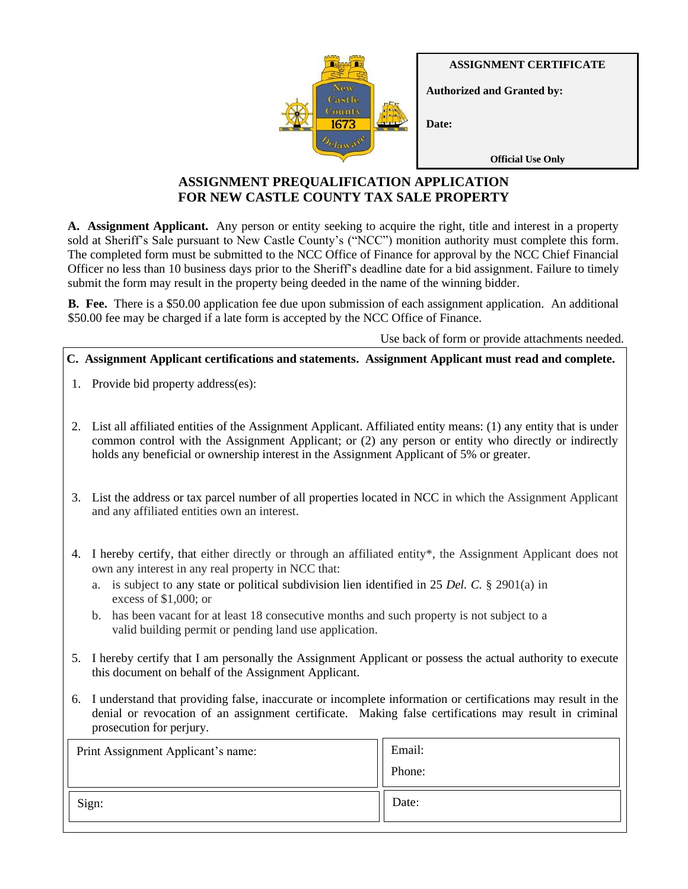**ASSIGNMENT CERTIFICATE**



**Official Use Only**

# **ASSIGNMENT PREQUALIFICATION APPLICATION FOR NEW CASTLE COUNTY TAX SALE PROPERTY**

**A. Assignment Applicant.** Any person or entity seeking to acquire the right, title and interest in a property sold at Sheriff's Sale pursuant to New Castle County's ("NCC") monition authority must complete this form. The completed form must be submitted to the NCC Office of Finance for approval by the NCC Chief Financial Officer no less than 10 business days prior to the Sheriff's deadline date for a bid assignment. Failure to timely submit the form may result in the property being deeded in the name of the winning bidder.

**B. Fee.** There is a \$50.00 application fee due upon submission of each assignment application. An additional \$50.00 fee may be charged if a late form is accepted by the NCC Office of Finance.

Use back of form or provide attachments needed.

### **C. Assignment Applicant certifications and statements. Assignment Applicant must read and complete.**

- 1. Provide bid property address(es):
- 2. List all affiliated entities of the Assignment Applicant. Affiliated entity means: (1) any entity that is under common control with the Assignment Applicant; or (2) any person or entity who directly or indirectly holds any beneficial or ownership interest in the Assignment Applicant of 5% or greater.
- 3. List the address or tax parcel number of all properties located in NCC in which the Assignment Applicant and any affiliated entities own an interest.
- 4. I hereby certify, that either directly or through an affiliated entity\*, the Assignment Applicant does not own any interest in any real property in NCC that:
	- a. is subject to any state or political subdivision lien identified in 25 *Del. C.* § 2901(a) in excess of \$1,000; or
	- b. has been vacant for at least 18 consecutive months and such property is not subject to a valid building permit or pending land use application.
- 5. I hereby certify that I am personally the Assignment Applicant or possess the actual authority to execute this document on behalf of the Assignment Applicant.
- 6. I understand that providing false, inaccurate or incomplete information or certifications may result in the denial or revocation of an assignment certificate. Making false certifications may result in criminal prosecution for perjury.

| Print Assignment Applicant's name: | Email: |
|------------------------------------|--------|
|                                    | Phone: |
| Sign:                              | Date:  |